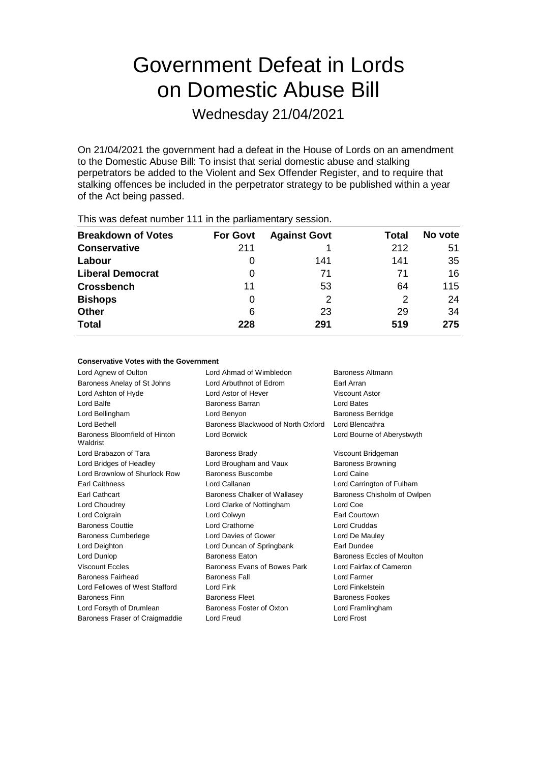# Government Defeat in Lords on Domestic Abuse Bill

Wednesday 21/04/2021

On 21/04/2021 the government had a defeat in the House of Lords on an amendment to the Domestic Abuse Bill: To insist that serial domestic abuse and stalking perpetrators be added to the Violent and Sex Offender Register, and to require that stalking offences be included in the perpetrator strategy to be published within a year of the Act being passed.

| This was abloat harnoof The Interior parliamontary occupit. |                 |                     |       |         |  |  |  |  |
|-------------------------------------------------------------|-----------------|---------------------|-------|---------|--|--|--|--|
| <b>Breakdown of Votes</b>                                   | <b>For Govt</b> | <b>Against Govt</b> | Total | No vote |  |  |  |  |
| <b>Conservative</b>                                         | 211             |                     | 212   | 51      |  |  |  |  |
| Labour                                                      | O               | 141                 | 141   | 35      |  |  |  |  |
| <b>Liberal Democrat</b>                                     | 0               | 71                  | 71    | 16      |  |  |  |  |
| <b>Crossbench</b>                                           | 11              | 53                  | 64    | 115     |  |  |  |  |
| <b>Bishops</b>                                              | 0               | 2                   | 2     | 24      |  |  |  |  |
| <b>Other</b>                                                | 6               | 23                  | 29    | 34      |  |  |  |  |
| <b>Total</b>                                                | 228             | 291                 | 519   | 275     |  |  |  |  |
|                                                             |                 |                     |       |         |  |  |  |  |

This was defeat number 111 in the parliamentary session.

## **Conservative Votes with the Government**

| Lord Agnew of Oulton                      | Lord Ahmad of Wimbledon            | Baroness Altmann            |
|-------------------------------------------|------------------------------------|-----------------------------|
| Baroness Anelay of St Johns               | Lord Arbuthnot of Edrom            | Earl Arran                  |
| Lord Ashton of Hyde                       | Lord Astor of Hever                | Viscount Astor              |
| Lord Balfe                                | <b>Baroness Barran</b>             | Lord Bates                  |
| Lord Bellingham                           | Lord Benyon                        | <b>Baroness Berridge</b>    |
| Lord Bethell                              | Baroness Blackwood of North Oxford | Lord Blencathra             |
| Baroness Bloomfield of Hinton<br>Waldrist | Lord Borwick                       | Lord Bourne of Aberystwyth  |
| Lord Brabazon of Tara                     | <b>Baroness Brady</b>              | Viscount Bridgeman          |
| Lord Bridges of Headley                   | Lord Brougham and Vaux             | <b>Baroness Browning</b>    |
| Lord Brownlow of Shurlock Row             | Baroness Buscombe                  | Lord Caine                  |
| <b>Earl Caithness</b>                     | Lord Callanan                      | Lord Carrington of Fulham   |
| Earl Cathcart                             | Baroness Chalker of Wallasey       | Baroness Chisholm of Owlpen |
| Lord Choudrey                             | Lord Clarke of Nottingham          | Lord Coe                    |
| Lord Colgrain                             | Lord Colwyn                        | Earl Courtown               |
| <b>Baroness Couttie</b>                   | Lord Crathorne                     | Lord Cruddas                |
| <b>Baroness Cumberlege</b>                | Lord Davies of Gower               | Lord De Mauley              |
| Lord Deighton                             | Lord Duncan of Springbank          | Earl Dundee                 |
| Lord Dunlop                               | <b>Baroness Eaton</b>              | Baroness Eccles of Moulton  |
| <b>Viscount Eccles</b>                    | Baroness Evans of Bowes Park       | Lord Fairfax of Cameron     |
| Baroness Fairhead                         | <b>Baroness Fall</b>               | Lord Farmer                 |
| Lord Fellowes of West Stafford            | Lord Fink                          | Lord Finkelstein            |
| <b>Baroness Finn</b>                      | <b>Baroness Fleet</b>              | <b>Baroness Fookes</b>      |
| Lord Forsyth of Drumlean                  | Baroness Foster of Oxton           | Lord Framlingham            |
| Baroness Fraser of Craigmaddie            | Lord Freud                         | Lord Frost                  |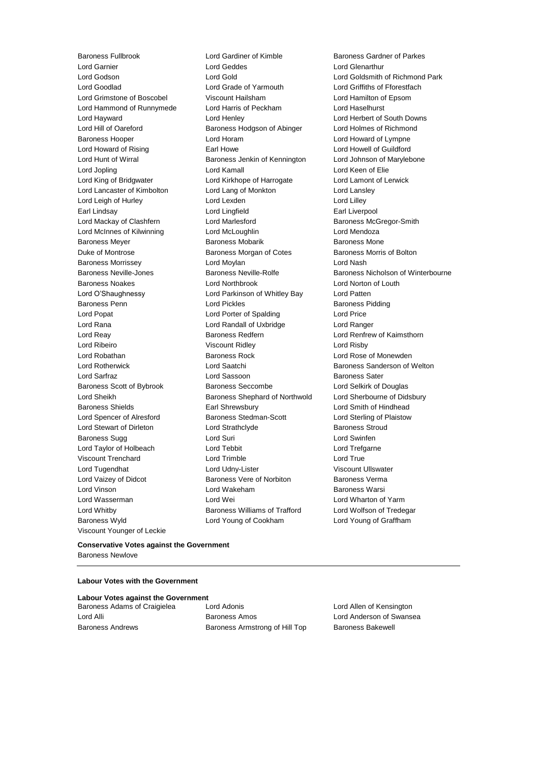Baroness Fullbrook Lord Gardiner of Kimble Baroness Gardner of Parkes Lord Grimstone of Boscobel Viscount Hailsham Viscount Younger of Leckie

Lord Garnier Lord Geddes Lord Glenarthur Lord Goodlad **Lord Grade of Yarmouth** Lord Grade Cord Griffiths of Fforestfach<br>
Lord Grimstone of Boscobel **Cord Cord Cord Cord Cord Cord Cord Hamilton** of Epsom Lord Hammond of Runnymede Lord Harris of Peckham Lord Haselhurst Lord Hayward Lord Henley Lord Herbert of South Downs Lord Hill of Oareford Baroness Hodgson of Abinger Lord Holmes of Richmond Baroness Hooper Lord Horam Lord Howard of Lympne Lord Howard of Rising **Earl Howe** Earl Howe Lord Howell of Guildford Lord Hunt of Wirral **Baroness Jenkin of Kennington** Lord Johnson of Marylebone Lord Jopling Lord Kamall Lord Keen of Elie Lord King of Bridgwater Lord Kirkhope of Harrogate Lord Lamont of Lerwick Lord Lancaster of Kimbolton Lord Lang of Monkton Lord Lansley Lord Leigh of Hurley **Lord Lord Lexden** Lord Lord Lord Lilley Earl Lindsay Lord Lingfield Earl Liverpool Lord Mackay of Clashfern **Lord Marlesford** Baroness McGregor-Smith Lord McInnes of Kilwinning Lord McLoughlin Lord Mendoza Baroness Meyer **Baroness Mobarik** Baroness Mobarik Baroness Mone Duke of Montrose **Baroness Morgan of Cotes** Baroness Morris of Bolton Baroness Morrissey Lord Moylan Lord Nash Baroness Noakes Lord Northbrook Lord Norton of Louth Lord O'Shaughnessy Lord Parkinson of Whitley Bay Lord Patten Baroness Penn **Example 2** Lord Pickles **Baroness Pidding** Lord Popat Lord Porter of Spalding Lord Price Lord Rana Lord Randall of Uxbridge Lord Ranger Lord Reay Baroness Redfern Lord Renfrew of Kaimsthorn Lord Ribeiro Viscount Ridley Lord Risby Lord Robathan **Baroness Rock** Lord Rose of Monewden Lord Rotherwick Lord Saatchi Baroness Sanderson of Welton Lord Sarfraz **Lord Sassoon** Baroness Sater Baroness Scott of Bybrook Baroness Seccombe Lord Selkirk of Douglas Lord Sheikh **Baroness Shephard of Northwold** Lord Sherbourne of Didsbury Baroness Shields Earl Shrewsbury Lord Smith of Hindhead Lord Spencer of Alresford Baroness Stedman-Scott Lord Sterling of Plaistow Lord Stewart of Dirleton Lord Strathclyde Baroness Stroud Baroness Sugg **Lord Suri Lord Suri Lord Swinfen** Lord Taylor of Holbeach Lord Tebbit Lord Trefgarne Viscount Trenchard Lord Trimble Lord True Lord Tugendhat **Lord Udny-Lister** Corresponding Viscount Ullswater Lord Vaizey of Didcot **Baroness Vere of Norbiton** Baroness Verma Lord Vinson Lord Wakeham Baroness Warsi Lord Wasserman Lord Wei Lord Wharton of Yarm Lord Whitby Baroness Williams of Trafford Lord Wolfson of Tredegar Baroness Wyld Lord Young of Cookham Lord Young of Graffham

Lord Gold **Lord Goldsmith of Richmond Park** Baroness Neville-Jones Baroness Neville-Rolfe Baroness Nicholson of Winterbourne

## **Conservative Votes against the Government** Baroness Newlove

## **Labour Votes with the Government**

| <b>Labour Votes against the Government</b> |   |
|--------------------------------------------|---|
| Baroness Adams of Craigielea               | L |
|                                            |   |

Lord Adonis **Craiging Lord Adonis** Lord Allen of Kensington Lord Alli Baroness Amos Lord Anderson of Swansea Baroness Andrews **Baroness Armstrong of Hill Top** Baroness Bakewell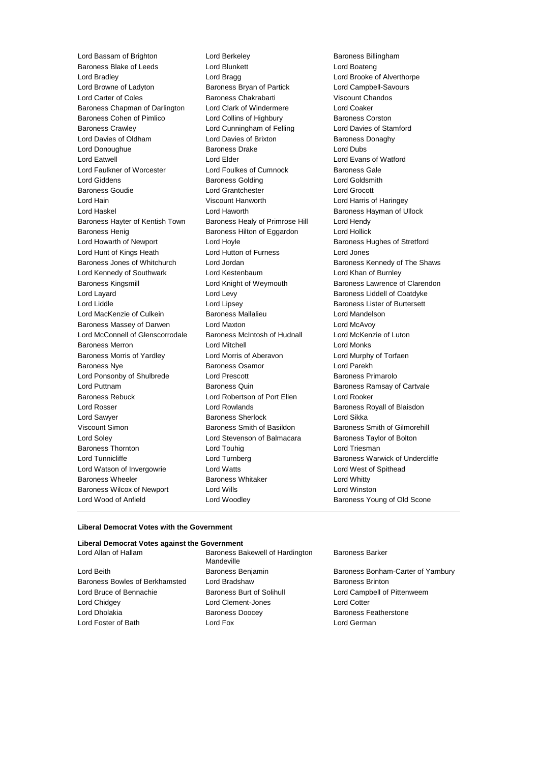Lord Bassam of Brighton **Lord Berkeley Baroness Billingham** Baroness Blake of Leeds Lord Blunkett Lord Boateng Lord Bradley Lord Bragg Lord Brooke of Alverthorpe Lord Browne of Ladyton Baroness Bryan of Partick Lord Campbell-Savours Lord Carter of Coles **Baroness Chakrabarti** Viscount Chandos Baroness Chapman of Darlington Lord Clark of Windermere Lord Coaker Baroness Cohen of Pimlico **Lord Collins of Highbury** Baroness Corston Baroness Crawley Lord Cunningham of Felling Lord Davies of Stamford Lord Davies of Oldham Lord Davies of Brixton Baroness Donaghy Lord Donoughue **Baroness Drake** Lord Dubs Lord Eatwell **Lord Elder** Lord Elder **Lord Example 1** Lord Evans of Watford Lord Faulkner of Worcester **Lord Foulkes of Cumnock** Baroness Gale Lord Giddens Baroness Golding Lord Goldsmith Baroness Goudie Lord Grantchester Lord Grocott Lord Hain Viscount Hanworth Lord Harris of Haringey Lord Haskel Lord Haworth Baroness Hayman of Ullock Baroness Hayter of Kentish Town Baroness Healy of Primrose Hill Lord Hendy Baroness Henig **Baroness Hilton of Eggardon** Lord Hollick Lord Howarth of Newport **Lord Hoyle Lord Hoyle Baroness Hughes of Stretford** Lord Hunt of Kings Heath Lord Hutton of Furness Lord Jones Baroness Jones of Whitchurch Lord Jordan Baroness Kennedy of The Shaws Lord Kennedy of Southwark Lord Kestenbaum Lord Khan of Burnley Baroness Kingsmill Lord Knight of Weymouth Baroness Lawrence of Clarendon Lord Layard **Lord Levy Lord Levy Baroness Liddell of Coatdyke** Lord Liddle **Lord Lipsey** Lord Lipsey **Baroness Lister of Burtersett** Lord MacKenzie of Culkein Baroness Mallalieu Lord Mandelson Baroness Massey of Darwen Lord Maxton Lord McAvoy Lord McConnell of Glenscorrodale Baroness McIntosh of Hudnall Lord McKenzie of Luton Baroness Merron Lord Mitchell Lord Monks Baroness Morris of Yardley Lord Morris of Aberavon Lord Murphy of Torfaen Baroness Nye **Baroness Osamor Baroness Osamor Lord Parekh** Lord Ponsonby of Shulbrede Lord Prescott Corporation Baroness Primarolo Lord Puttnam **Baroness Quin** Baroness Quin Baroness Ramsay of Cartvale Baroness Rebuck Lord Robertson of Port Ellen Lord Rooker Lord Rosser Lord Rowlands Baroness Royall of Blaisdon Lord Sawyer **Baroness Sherlock** Lord Sikka Viscount Simon Baroness Smith of Basildon Baroness Smith of Gilmorehill Lord Soley Lord Stevenson of Balmacara Baroness Taylor of Bolton Baroness Thornton **Lord Touhig Lord Triesman** Lord Triesman Lord Tunnicliffe **Lord Turnberg Lord Baroness Warwick of Undercliffe** Lord Watson of Invergowrie Lord Watts Lord West of Spithead Baroness Wheeler **Baroness Whitaker** Lord Whitty Baroness Wilcox of Newport Lord Wills Lord Winston Lord Wood of Anfield **Lord Woodley Lord Woodley** Baroness Young of Old Scone

#### **Liberal Democrat Votes with the Government**

## **Liberal Democrat Votes against the Government**

Lord Beith **Baroness Benjamin** Baroness Benjamin Baroness Bonham-Carter of Yarnbury Baroness Bowles of Berkhamsted Lord Bradshaw **Baroness Brinton** Lord Bruce of Bennachie **Baroness Burt of Solihull** Lord Campbell of Pittenweem Lord Chidgey Lord Clement-Jones Lord Cotter Lord Dholakia Baroness Doocey Baroness Featherstone Lord Foster of Bath Lord Fox Lord German

Baroness Bakewell of Hardington Mandeville

Baroness Barker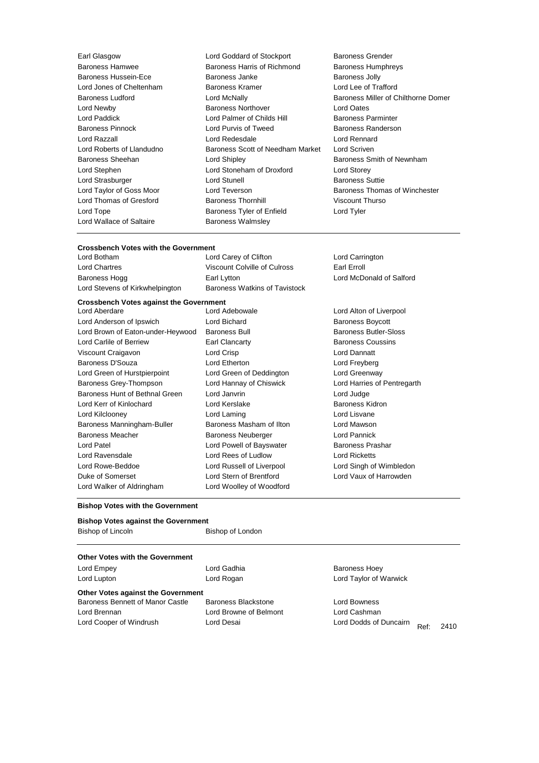Lord Wallace of Saltaire **Baroness Walmsley** 

Earl Glasgow Lord Goddard of Stockport Baroness Grender Baroness Hamwee **Baroness Harris of Richmond** Baroness Humphreys Baroness Hussein-Ece **Baroness** Janke Baroness Janke Baroness Jolly Lord Jones of Cheltenham Baroness Kramer Lord Lee of Trafford Baroness Ludford Lord McNally Baroness Miller of Chilthorne Domer Lord Newby Baroness Northover Lord Oates Lord Paddick **Lord Palmer of Childs Hill Baroness Parminter** Baroness Pinnock Lord Purvis of Tweed Baroness Randerson Lord Razzall Lord Redesdale Lord Rennard Lord Roberts of Llandudno **Baroness Scott of Needham Market** Lord Scriven Baroness Sheehan **Lord Shipley Baroness Smith of Newnham** Lord Stephen Lord Stoneham of Droxford Lord Storey Lord Strasburger Lord Stunell Baroness Suttie Lord Taylor of Goss Moor **Lord Teverson** Baroness Thomas of Winchester Lord Thomas of Gresford Baroness Thornhill Viscount Thurso Lord Tope **Baroness Tyler of Enfield** Lord Tyler Cord Tyler

## **Crossbench Votes with the Government**

Lord Carey of Clifton Lord Carrington Lord Chartres Viscount Colville of Culross Earl Erroll Baroness Hogg **Earl Lytton** Earl Lytton Lord McDonald of Salford Containers and Lord McDonald of Salford Lord Stevens of Kirkwhelpington Baroness Watkins of Tavistock

## **Crossbench Votes against the Government**

Lord Anderson of Ipswich **Lord Bichard** Lord Bichard **Baroness Boycott** Lord Brown of Eaton-under-Heywood Baroness Bull Baroness Butler-Sloss Lord Carlile of Berriew **Earl Clancarty** Earl Clancarty **Baroness Coussins** Viscount Craigavon Lord Crisp Lord Dannatt Baroness D'Souza Lord Etherton Lord Freyberg Lord Green of Hurstpierpoint Lord Green of Deddington Lord Greenway Baroness Grey-Thompson Lord Hannay of Chiswick Lord Harries of Pentregarth Baroness Hunt of Bethnal Green Lord Janvrin Lord Judge Lord Kerr of Kinlochard Lord Kerslake Baroness Kidron Lord Kilclooney Lord Laming Lord Lisvane Baroness Manningham-Buller Baroness Masham of Ilton Lord Mawson Baroness Meacher **Baroness Neuberger Lord Pannick** Lord Patel **Lord Powell of Bayswater** Baroness Prashar Lord Ravensdale Lord Rees of Ludlow Lord Ricketts Lord Rowe-Beddoe Lord Russell of Liverpool Lord Singh of Wimbledon Duke of Somerset Lord Stern of Brentford Lord Vaux of Harrowden Lord Walker of Aldringham Lord Woolley of Woodford

Lord Alton of Liverpool

#### **Bishop Votes with the Government**

| <b>Bishop Votes against the Government</b> |                  |  |  |  |
|--------------------------------------------|------------------|--|--|--|
| Bishop of Lincoln                          | Bishop of London |  |  |  |

## **Other Votes with the Government**

| Lord Empey                                | Lord Gadhia                | <b>Baroness Hoey</b>           |      |
|-------------------------------------------|----------------------------|--------------------------------|------|
| Lord Lupton                               | Lord Rogan                 | Lord Taylor of Warwick         |      |
| <b>Other Votes against the Government</b> |                            |                                |      |
| Baroness Bennett of Manor Castle          | <b>Baroness Blackstone</b> | Lord Bowness                   |      |
| Lord Brennan                              | Lord Browne of Belmont     | Lord Cashman                   |      |
| Lord Cooper of Windrush                   | Lord Desai                 | Lord Dodds of Duncairn<br>Ref: | 2410 |